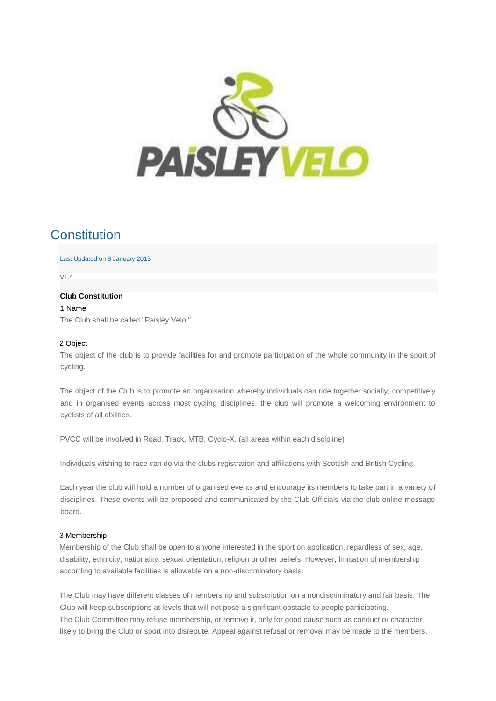

# **Constitution**

Last Updated on 8 January 2015

V1.4

# **Club Constitution**

1 Name The Club shall be called "Paisley Velo ".

#### 2 Object

The object of the club is to provide facilities for and promote participation of the whole community in the sport of cycling.

The object of the Club is to promote an organisation whereby individuals can ride together socially, competitively and in organised events across most cycling disciplines, the club will promote a welcoming environment to cyclists of all abilities.

PVCC will be involved in Road, Track, MTB, Cyclo-X. (all areas within each discipline)

Individuals wishing to race can do via the clubs registration and affiliations with Scottish and British Cycling.

Each year the club will hold a number of organised events and encourage its members to take part in a variety of disciplines. These events will be proposed and communicated by the Club Officials via the club online message board.

# 3 Membership

Membership of the Club shall be open to anyone interested in the sport on application, regardless of sex, age, disability, ethnicity, nationality, sexual orientation, religion or other beliefs. However, limitation of membership according to available facilities is allowable on a non-discriminatory basis.

The Club may have different classes of membership and subscription on a nondiscriminatory and fair basis. The Club will keep subscriptions at levels that will not pose a significant obstacle to people participating. The Club Committee may refuse membership, or remove it, only for good cause such as conduct or character likely to bring the Club or sport into disrepute. Appeal against refusal or removal may be made to the members.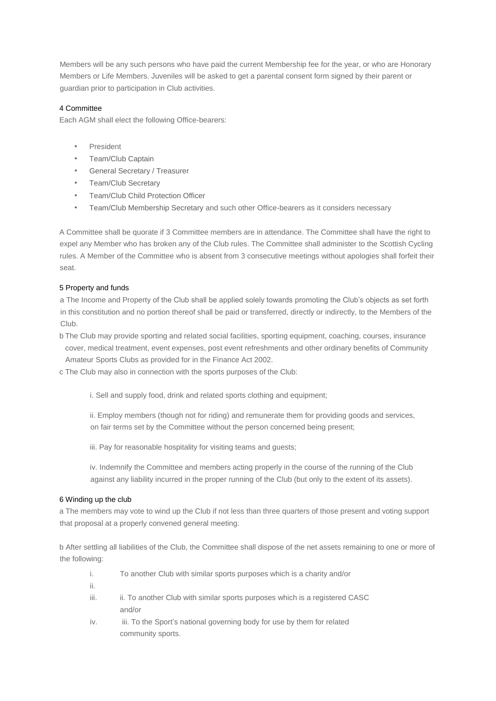Members will be any such persons who have paid the current Membership fee for the year, or who are Honorary Members or Life Members. Juveniles will be asked to get a parental consent form signed by their parent or guardian prior to participation in Club activities.

# 4 Committee

Each AGM shall elect the following Office-bearers:

- President
- Team/Club Captain
- General Secretary / Treasurer
- Team/Club Secretary
- Team/Club Child Protection Officer
- Team/Club Membership Secretary and such other Office-bearers as it considers necessary

A Committee shall be quorate if 3 Committee members are in attendance. The Committee shall have the right to expel any Member who has broken any of the Club rules. The Committee shall administer to the Scottish Cycling rules. A Member of the Committee who is absent from 3 consecutive meetings without apologies shall forfeit their seat.

# 5 Property and funds

a The Income and Property of the Club shall be applied solely towards promoting the Club's objects as set forth in this constitution and no portion thereof shall be paid or transferred, directly or indirectly, to the Members of the Club.

b The Club may provide sporting and related social facilities, sporting equipment, coaching, courses, insurance cover, medical treatment, event expenses, post event refreshments and other ordinary benefits of Community Amateur Sports Clubs as provided for in the Finance Act 2002.

- c The Club may also in connection with the sports purposes of the Club:
	- i. Sell and supply food, drink and related sports clothing and equipment;

ii. Employ members (though not for riding) and remunerate them for providing goods and services, on fair terms set by the Committee without the person concerned being present;

iii. Pay for reasonable hospitality for visiting teams and guests;

iv. Indemnify the Committee and members acting properly in the course of the running of the Club against any liability incurred in the proper running of the Club (but only to the extent of its assets).

# 6 Winding up the club

a The members may vote to wind up the Club if not less than three quarters of those present and voting support that proposal at a properly convened general meeting.

b After settling all liabilities of the Club, the Committee shall dispose of the net assets remaining to one or more of the following:

- i. To another Club with similar sports purposes which is a charity and/or
- ii.
- iii. iii. To another Club with similar sports purposes which is a registered CASC and/or
- iv. iii. To the Sport's national governing body for use by them for related community sports.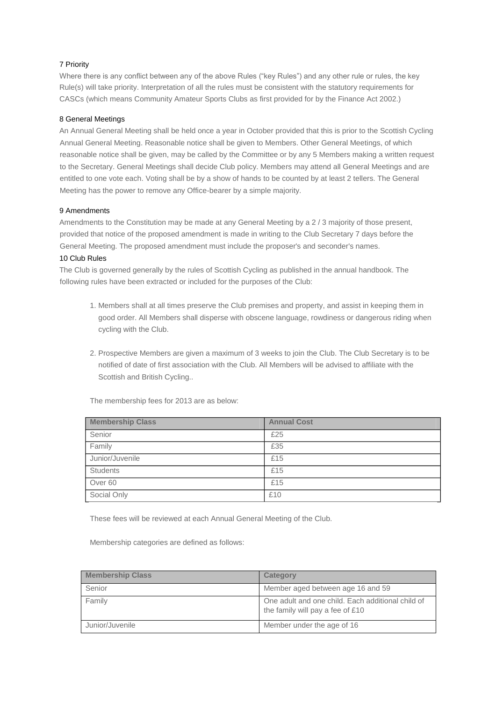# 7 Priority

Where there is any conflict between any of the above Rules ("key Rules") and any other rule or rules, the key Rule(s) will take priority. Interpretation of all the rules must be consistent with the statutory requirements for CASCs (which means Community Amateur Sports Clubs as first provided for by the Finance Act 2002.)

# 8 General Meetings

An Annual General Meeting shall be held once a year in October provided that this is prior to the Scottish Cycling Annual General Meeting. Reasonable notice shall be given to Members. Other General Meetings, of which reasonable notice shall be given, may be called by the Committee or by any 5 Members making a written request to the Secretary. General Meetings shall decide Club policy. Members may attend all General Meetings and are entitled to one vote each. Voting shall be by a show of hands to be counted by at least 2 tellers. The General Meeting has the power to remove any Office-bearer by a simple majority.

# 9 Amendments

Amendments to the Constitution may be made at any General Meeting by a 2 / 3 majority of those present, provided that notice of the proposed amendment is made in writing to the Club Secretary 7 days before the General Meeting. The proposed amendment must include the proposer's and seconder's names.

# 10 Club Rules

The Club is governed generally by the rules of Scottish Cycling as published in the annual handbook. The following rules have been extracted or included for the purposes of the Club:

- 1. Members shall at all times preserve the Club premises and property, and assist in keeping them in good order. All Members shall disperse with obscene language, rowdiness or dangerous riding when cycling with the Club.
- 2. Prospective Members are given a maximum of 3 weeks to join the Club. The Club Secretary is to be notified of date of first association with the Club. All Members will be advised to affiliate with the Scottish and British Cycling..

| <b>Membership Class</b> | <b>Annual Cost</b> |
|-------------------------|--------------------|
| Senior                  | £25                |
| Family                  | £35                |
| Junior/Juvenile         | £15                |
| <b>Students</b>         | £15                |
| Over 60                 | £15                |
| Social Only             | £10                |

The membership fees for 2013 are as below:

These fees will be reviewed at each Annual General Meeting of the Club.

Membership categories are defined as follows:

| <b>Membership Class</b> | <b>Category</b>                                                                       |
|-------------------------|---------------------------------------------------------------------------------------|
| Senior                  | Member aged between age 16 and 59                                                     |
| Family                  | One adult and one child. Each additional child of<br>the family will pay a fee of £10 |
| Junior/Juvenile         | Member under the age of 16                                                            |